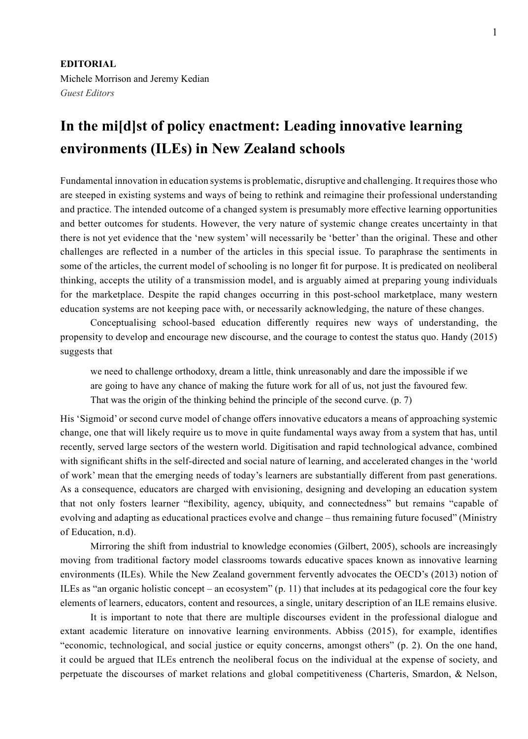## **In the mi[d]st of policy enactment: Leading innovative learning environments (ILEs) in New Zealand schools**

Fundamental innovation in education systems is problematic, disruptive and challenging. It requires those who are steeped in existing systems and ways of being to rethink and reimagine their professional understanding and practice. The intended outcome of a changed system is presumably more effective learning opportunities and better outcomes for students. However, the very nature of systemic change creates uncertainty in that there is not yet evidence that the 'new system' will necessarily be 'better' than the original. These and other challenges are reflected in a number of the articles in this special issue. To paraphrase the sentiments in some of the articles, the current model of schooling is no longer fit for purpose. It is predicated on neoliberal thinking, accepts the utility of a transmission model, and is arguably aimed at preparing young individuals for the marketplace. Despite the rapid changes occurring in this post-school marketplace, many western education systems are not keeping pace with, or necessarily acknowledging, the nature of these changes.

Conceptualising school-based education differently requires new ways of understanding, the propensity to develop and encourage new discourse, and the courage to contest the status quo. Handy (2015) suggests that

we need to challenge orthodoxy, dream a little, think unreasonably and dare the impossible if we are going to have any chance of making the future work for all of us, not just the favoured few. That was the origin of the thinking behind the principle of the second curve. (p. 7)

His 'Sigmoid' or second curve model of change offers innovative educators a means of approaching systemic change, one that will likely require us to move in quite fundamental ways away from a system that has, until recently, served large sectors of the western world. Digitisation and rapid technological advance, combined with significant shifts in the self-directed and social nature of learning, and accelerated changes in the 'world of work' mean that the emerging needs of today's learners are substantially different from past generations. As a consequence, educators are charged with envisioning, designing and developing an education system that not only fosters learner "flexibility, agency, ubiquity, and connectedness" but remains "capable of evolving and adapting as educational practices evolve and change – thus remaining future focused" (Ministry of Education, n.d).

Mirroring the shift from industrial to knowledge economies (Gilbert, 2005), schools are increasingly moving from traditional factory model classrooms towards educative spaces known as innovative learning environments (ILEs). While the New Zealand government fervently advocates the OECD's (2013) notion of ILEs as "an organic holistic concept – an ecosystem" (p. 11) that includes at its pedagogical core the four key elements of learners, educators, content and resources, a single, unitary description of an ILE remains elusive.

It is important to note that there are multiple discourses evident in the professional dialogue and extant academic literature on innovative learning environments. Abbiss (2015), for example, identifies "economic, technological, and social justice or equity concerns, amongst others" (p. 2). On the one hand, it could be argued that ILEs entrench the neoliberal focus on the individual at the expense of society, and perpetuate the discourses of market relations and global competitiveness (Charteris, Smardon, & Nelson,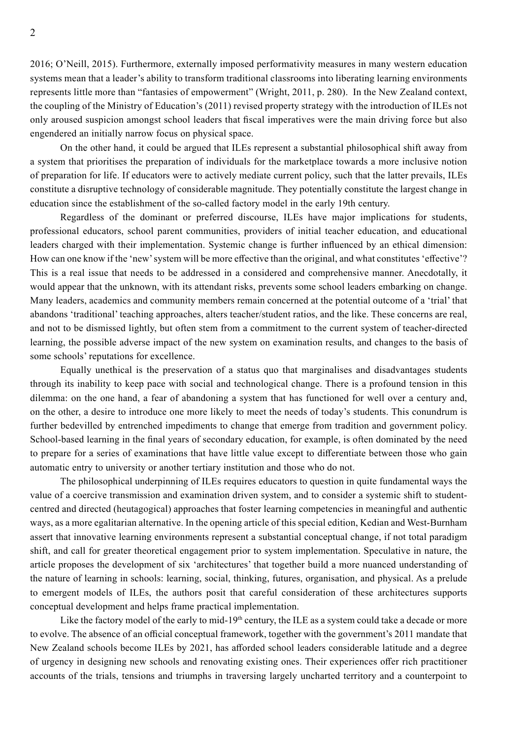2016; O'Neill, 2015). Furthermore, externally imposed performativity measures in many western education systems mean that a leader's ability to transform traditional classrooms into liberating learning environments represents little more than "fantasies of empowerment" (Wright, 2011, p. 280). In the New Zealand context, the coupling of the Ministry of Education's (2011) revised property strategy with the introduction of ILEs not only aroused suspicion amongst school leaders that fiscal imperatives were the main driving force but also engendered an initially narrow focus on physical space.

On the other hand, it could be argued that ILEs represent a substantial philosophical shift away from a system that prioritises the preparation of individuals for the marketplace towards a more inclusive notion of preparation for life. If educators were to actively mediate current policy, such that the latter prevails, ILEs constitute a disruptive technology of considerable magnitude. They potentially constitute the largest change in education since the establishment of the so-called factory model in the early 19th century.

Regardless of the dominant or preferred discourse, ILEs have major implications for students, professional educators, school parent communities, providers of initial teacher education, and educational leaders charged with their implementation. Systemic change is further influenced by an ethical dimension: How can one know if the 'new' system will be more effective than the original, and what constitutes 'effective'? This is a real issue that needs to be addressed in a considered and comprehensive manner. Anecdotally, it would appear that the unknown, with its attendant risks, prevents some school leaders embarking on change. Many leaders, academics and community members remain concerned at the potential outcome of a 'trial' that abandons 'traditional' teaching approaches, alters teacher/student ratios, and the like. These concerns are real, and not to be dismissed lightly, but often stem from a commitment to the current system of teacher-directed learning, the possible adverse impact of the new system on examination results, and changes to the basis of some schools' reputations for excellence.

Equally unethical is the preservation of a status quo that marginalises and disadvantages students through its inability to keep pace with social and technological change. There is a profound tension in this dilemma: on the one hand, a fear of abandoning a system that has functioned for well over a century and, on the other, a desire to introduce one more likely to meet the needs of today's students. This conundrum is further bedevilled by entrenched impediments to change that emerge from tradition and government policy. School-based learning in the final years of secondary education, for example, is often dominated by the need to prepare for a series of examinations that have little value except to differentiate between those who gain automatic entry to university or another tertiary institution and those who do not.

The philosophical underpinning of ILEs requires educators to question in quite fundamental ways the value of a coercive transmission and examination driven system, and to consider a systemic shift to studentcentred and directed (heutagogical) approaches that foster learning competencies in meaningful and authentic ways, as a more egalitarian alternative. In the opening article of this special edition, Kedian and West-Burnham assert that innovative learning environments represent a substantial conceptual change, if not total paradigm shift, and call for greater theoretical engagement prior to system implementation. Speculative in nature, the article proposes the development of six 'architectures' that together build a more nuanced understanding of the nature of learning in schools: learning, social, thinking, futures, organisation, and physical. As a prelude to emergent models of ILEs, the authors posit that careful consideration of these architectures supports conceptual development and helps frame practical implementation.

Like the factory model of the early to mid-19<sup>th</sup> century, the ILE as a system could take a decade or more to evolve. The absence of an official conceptual framework, together with the government's 2011 mandate that New Zealand schools become ILEs by 2021, has afforded school leaders considerable latitude and a degree of urgency in designing new schools and renovating existing ones. Their experiences offer rich practitioner accounts of the trials, tensions and triumphs in traversing largely uncharted territory and a counterpoint to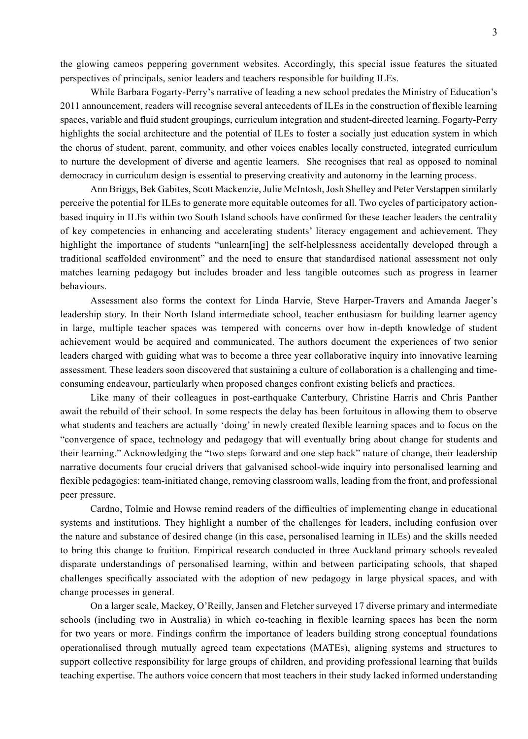the glowing cameos peppering government websites. Accordingly, this special issue features the situated perspectives of principals, senior leaders and teachers responsible for building ILEs.

While Barbara Fogarty-Perry's narrative of leading a new school predates the Ministry of Education's 2011 announcement, readers will recognise several antecedents of ILEs in the construction of flexible learning spaces, variable and fluid student groupings, curriculum integration and student-directed learning. Fogarty-Perry highlights the social architecture and the potential of ILEs to foster a socially just education system in which the chorus of student, parent, community, and other voices enables locally constructed, integrated curriculum to nurture the development of diverse and agentic learners. She recognises that real as opposed to nominal democracy in curriculum design is essential to preserving creativity and autonomy in the learning process.

Ann Briggs, Bek Gabites, Scott Mackenzie, Julie McIntosh, Josh Shelley and Peter Verstappen similarly perceive the potential for ILEs to generate more equitable outcomes for all. Two cycles of participatory actionbased inquiry in ILEs within two South Island schools have confirmed for these teacher leaders the centrality of key competencies in enhancing and accelerating students' literacy engagement and achievement. They highlight the importance of students "unlearn[ing] the self-helplessness accidentally developed through a traditional scaffolded environment" and the need to ensure that standardised national assessment not only matches learning pedagogy but includes broader and less tangible outcomes such as progress in learner behaviours.

Assessment also forms the context for Linda Harvie, Steve Harper-Travers and Amanda Jaeger's leadership story. In their North Island intermediate school, teacher enthusiasm for building learner agency in large, multiple teacher spaces was tempered with concerns over how in-depth knowledge of student achievement would be acquired and communicated. The authors document the experiences of two senior leaders charged with guiding what was to become a three year collaborative inquiry into innovative learning assessment. These leaders soon discovered that sustaining a culture of collaboration is a challenging and timeconsuming endeavour, particularly when proposed changes confront existing beliefs and practices.

Like many of their colleagues in post-earthquake Canterbury, Christine Harris and Chris Panther await the rebuild of their school. In some respects the delay has been fortuitous in allowing them to observe what students and teachers are actually 'doing' in newly created flexible learning spaces and to focus on the "convergence of space, technology and pedagogy that will eventually bring about change for students and their learning." Acknowledging the "two steps forward and one step back" nature of change, their leadership narrative documents four crucial drivers that galvanised school-wide inquiry into personalised learning and flexible pedagogies: team-initiated change, removing classroom walls, leading from the front, and professional peer pressure.

Cardno, Tolmie and Howse remind readers of the difficulties of implementing change in educational systems and institutions. They highlight a number of the challenges for leaders, including confusion over the nature and substance of desired change (in this case, personalised learning in ILEs) and the skills needed to bring this change to fruition. Empirical research conducted in three Auckland primary schools revealed disparate understandings of personalised learning, within and between participating schools, that shaped challenges specifically associated with the adoption of new pedagogy in large physical spaces, and with change processes in general.

On a larger scale, Mackey, O'Reilly, Jansen and Fletcher surveyed 17 diverse primary and intermediate schools (including two in Australia) in which co-teaching in flexible learning spaces has been the norm for two years or more. Findings confirm the importance of leaders building strong conceptual foundations operationalised through mutually agreed team expectations (MATEs), aligning systems and structures to support collective responsibility for large groups of children, and providing professional learning that builds teaching expertise. The authors voice concern that most teachers in their study lacked informed understanding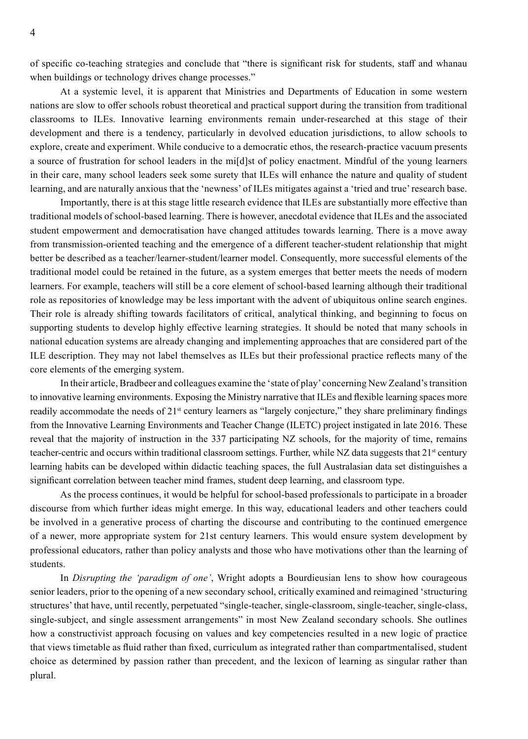of specific co-teaching strategies and conclude that "there is significant risk for students, staff and whanau when buildings or technology drives change processes."

At a systemic level, it is apparent that Ministries and Departments of Education in some western nations are slow to offer schools robust theoretical and practical support during the transition from traditional classrooms to ILEs. Innovative learning environments remain under-researched at this stage of their development and there is a tendency, particularly in devolved education jurisdictions, to allow schools to explore, create and experiment. While conducive to a democratic ethos, the research-practice vacuum presents a source of frustration for school leaders in the mi[d]st of policy enactment. Mindful of the young learners in their care, many school leaders seek some surety that ILEs will enhance the nature and quality of student learning, and are naturally anxious that the 'newness' of ILEs mitigates against a 'tried and true' research base.

Importantly, there is at this stage little research evidence that ILEs are substantially more effective than traditional models of school-based learning. There is however, anecdotal evidence that ILEs and the associated student empowerment and democratisation have changed attitudes towards learning. There is a move away from transmission-oriented teaching and the emergence of a different teacher-student relationship that might better be described as a teacher/learner-student/learner model. Consequently, more successful elements of the traditional model could be retained in the future, as a system emerges that better meets the needs of modern learners. For example, teachers will still be a core element of school-based learning although their traditional role as repositories of knowledge may be less important with the advent of ubiquitous online search engines. Their role is already shifting towards facilitators of critical, analytical thinking, and beginning to focus on supporting students to develop highly effective learning strategies. It should be noted that many schools in national education systems are already changing and implementing approaches that are considered part of the ILE description. They may not label themselves as ILEs but their professional practice reflects many of the core elements of the emerging system.

In their article, Bradbeer and colleagues examine the 'state of play' concerning New Zealand's transition to innovative learning environments. Exposing the Ministry narrative that ILEs and flexible learning spaces more readily accommodate the needs of  $21<sup>st</sup>$  century learners as "largely conjecture," they share preliminary findings from the Innovative Learning Environments and Teacher Change (ILETC) project instigated in late 2016. These reveal that the majority of instruction in the 337 participating NZ schools, for the majority of time, remains teacher-centric and occurs within traditional classroom settings. Further, while NZ data suggests that 21st century learning habits can be developed within didactic teaching spaces, the full Australasian data set distinguishes a significant correlation between teacher mind frames, student deep learning, and classroom type.

As the process continues, it would be helpful for school-based professionals to participate in a broader discourse from which further ideas might emerge. In this way, educational leaders and other teachers could be involved in a generative process of charting the discourse and contributing to the continued emergence of a newer, more appropriate system for 21st century learners. This would ensure system development by professional educators, rather than policy analysts and those who have motivations other than the learning of students.

In *Disrupting the 'paradigm of one'*, Wright adopts a Bourdieusian lens to show how courageous senior leaders, prior to the opening of a new secondary school, critically examined and reimagined 'structuring structures' that have, until recently, perpetuated "single-teacher, single-classroom, single-teacher, single-class, single-subject, and single assessment arrangements" in most New Zealand secondary schools. She outlines how a constructivist approach focusing on values and key competencies resulted in a new logic of practice that views timetable as fluid rather than fixed, curriculum as integrated rather than compartmentalised, student choice as determined by passion rather than precedent, and the lexicon of learning as singular rather than plural.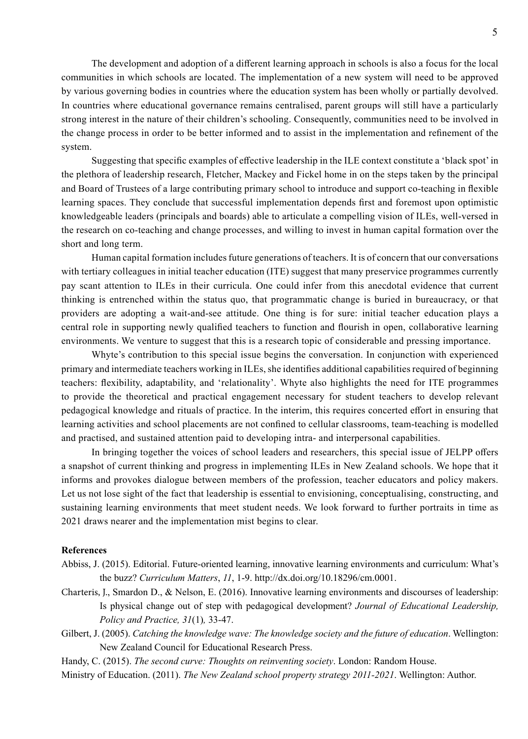The development and adoption of a different learning approach in schools is also a focus for the local communities in which schools are located. The implementation of a new system will need to be approved by various governing bodies in countries where the education system has been wholly or partially devolved. In countries where educational governance remains centralised, parent groups will still have a particularly strong interest in the nature of their children's schooling. Consequently, communities need to be involved in the change process in order to be better informed and to assist in the implementation and refinement of the system.

Suggesting that specific examples of effective leadership in the ILE context constitute a 'black spot' in the plethora of leadership research, Fletcher, Mackey and Fickel home in on the steps taken by the principal and Board of Trustees of a large contributing primary school to introduce and support co-teaching in flexible learning spaces. They conclude that successful implementation depends first and foremost upon optimistic knowledgeable leaders (principals and boards) able to articulate a compelling vision of ILEs, well-versed in the research on co-teaching and change processes, and willing to invest in human capital formation over the short and long term.

Human capital formation includes future generations of teachers. It is of concern that our conversations with tertiary colleagues in initial teacher education (ITE) suggest that many preservice programmes currently pay scant attention to ILEs in their curricula. One could infer from this anecdotal evidence that current thinking is entrenched within the status quo, that programmatic change is buried in bureaucracy, or that providers are adopting a wait-and-see attitude. One thing is for sure: initial teacher education plays a central role in supporting newly qualified teachers to function and flourish in open, collaborative learning environments. We venture to suggest that this is a research topic of considerable and pressing importance.

Whyte's contribution to this special issue begins the conversation. In conjunction with experienced primary and intermediate teachers working in ILEs, she identifies additional capabilities required of beginning teachers: flexibility, adaptability, and 'relationality'. Whyte also highlights the need for ITE programmes to provide the theoretical and practical engagement necessary for student teachers to develop relevant pedagogical knowledge and rituals of practice. In the interim, this requires concerted effort in ensuring that learning activities and school placements are not confined to cellular classrooms, team-teaching is modelled and practised, and sustained attention paid to developing intra- and interpersonal capabilities.

In bringing together the voices of school leaders and researchers, this special issue of JELPP offers a snapshot of current thinking and progress in implementing ILEs in New Zealand schools. We hope that it informs and provokes dialogue between members of the profession, teacher educators and policy makers. Let us not lose sight of the fact that leadership is essential to envisioning, conceptualising, constructing, and sustaining learning environments that meet student needs. We look forward to further portraits in time as 2021 draws nearer and the implementation mist begins to clear.

## **References**

- Abbiss, J. (2015). Editorial. Future-oriented learning, innovative learning environments and curriculum: What's the buzz? *Curriculum Matters*, *11*, 1-9. http://dx.doi.org/10.18296/cm.0001.
- Charteris, J., Smardon D., & Nelson, E. (2016). Innovative learning environments and discourses of leadership: Is physical change out of step with pedagogical development? *Journal of Educational Leadership, Policy and Practice, 31*(1)*,* 33-47.
- Gilbert, J. (2005). *Catching the knowledge wave: The knowledge society and the future of education*. Wellington: New Zealand Council for Educational Research Press.

Handy, C. (2015). *The second curve: Thoughts on reinventing society*. London: Random House.

Ministry of Education. (2011). *The New Zealand school property strategy 2011-2021*. Wellington: Author.